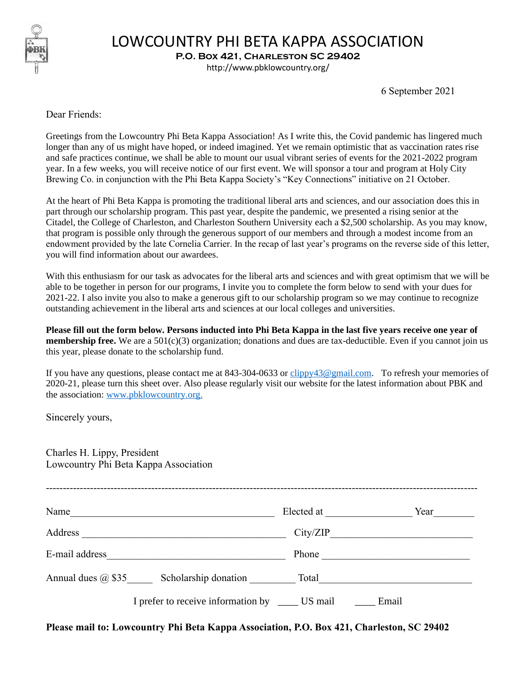

## LOWCOUNTRY PHI BETA KAPPA ASSOCIATION

**P.O. Box 421, Charleston SC 29402**

http://www.pbklowcountry.org/

6 September 2021

Dear Friends:

Greetings from the Lowcountry Phi Beta Kappa Association! As I write this, the Covid pandemic has lingered much longer than any of us might have hoped, or indeed imagined. Yet we remain optimistic that as vaccination rates rise and safe practices continue, we shall be able to mount our usual vibrant series of events for the 2021-2022 program year. In a few weeks, you will receive notice of our first event. We will sponsor a tour and program at Holy City Brewing Co. in conjunction with the Phi Beta Kappa Society's "Key Connections" initiative on 21 October.

At the heart of Phi Beta Kappa is promoting the traditional liberal arts and sciences, and our association does this in part through our scholarship program. This past year, despite the pandemic, we presented a rising senior at the Citadel, the College of Charleston, and Charleston Southern University each a \$2,500 scholarship. As you may know, that program is possible only through the generous support of our members and through a modest income from an endowment provided by the late Cornelia Carrier. In the recap of last year's programs on the reverse side of this letter, you will find information about our awardees.

With this enthusiasm for our task as advocates for the liberal arts and sciences and with great optimism that we will be able to be together in person for our programs, I invite you to complete the form below to send with your dues for 2021-22. I also invite you also to make a generous gift to our scholarship program so we may continue to recognize outstanding achievement in the liberal arts and sciences at our local colleges and universities.

**Please fill out the form below. Persons inducted into Phi Beta Kappa in the last five years receive one year of membership free.** We are a  $501(c)(3)$  organization; donations and dues are tax-deductible. Even if you cannot join us this year, please donate to the scholarship fund.

If you have any questions, please contact me at 843-304-0633 or [clippy43@gmail.com.](mailto:clippy43@gmail.com) To refresh your memories of 2020-21, please turn this sheet over. Also please regularly visit our website for the latest information about PBK and the association: [www.pbklowcountry.org.](http://www.pbklowcountry.org/)

Sincerely yours,

Charles H. Lippy, President Lowcountry Phi Beta Kappa Association

| Name                                              | Elected at | Year  |
|---------------------------------------------------|------------|-------|
| Address                                           | City/ZIP   |       |
| E-mail address                                    | Phone      |       |
| Annual dues $\omega$ \$35<br>Scholarship donation | Total      |       |
| I prefer to receive information by                | US mail    | Email |

**Please mail to: Lowcountry Phi Beta Kappa Association, P.O. Box 421, Charleston, SC 29402**